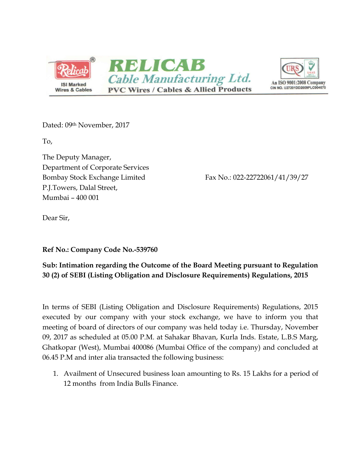



Dated: 09<sup>th</sup> November, 2017

To,

The Deputy Manager, Department of Corporate Services Bombay Stock Exchange Limited Fax No.: 022-22722061/41/39/27 P.J.Towers, Dalal Street, Mumbai – 400 001

Dear Sir,

**Ref No.: Company Code No.-539760**

**Sub: Intimation regarding the Outcome of the Board Meeting pursuant to Regulation 30 (2) of SEBI (Listing Obligation and Disclosure Requirements) Regulations, 2015**

In terms of SEBI (Listing Obligation and Disclosure Requirements) Regulations, 2015 executed by our company with your stock exchange, we have to inform you that meeting of board of directors of our company was held today i.e. Thursday, November 09, 2017 as scheduled at 05.00 P.M. at Sahakar Bhavan, Kurla Inds. Estate, L.B.S Marg, Ghatkopar (West), Mumbai 400086 (Mumbai Office of the company) and concluded at 06.45 P.M and inter alia transacted the following business:

1. Availment of Unsecured business loan amounting to Rs. 15 Lakhs for a period of 12 months from India Bulls Finance.